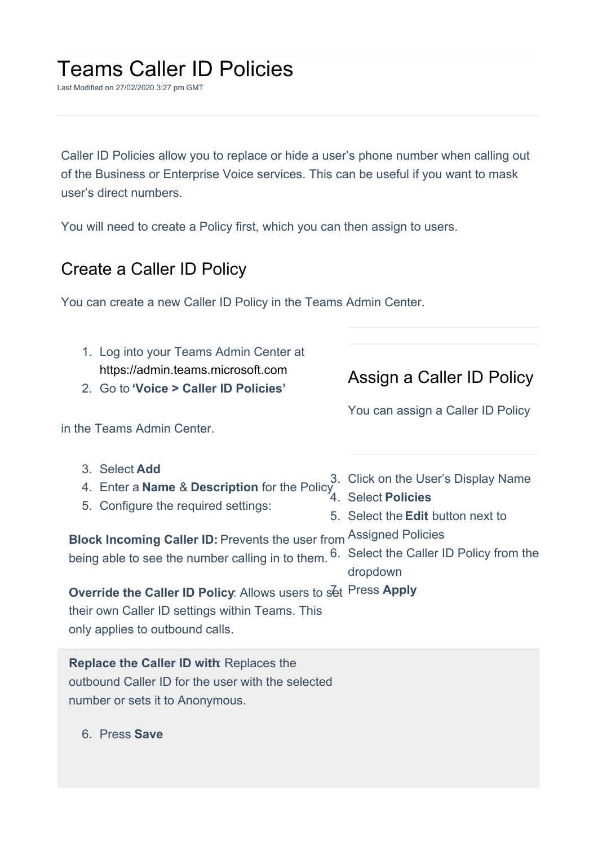## Teams Caller ID Policies

Last Modified on 27/02/2020 3:27 pm GMT

Caller ID Policies allow you to replace or hide a user's phone number when calling out of the Business or Enterprise Voice services. This can be useful if you want to mask user's direct numbers.

You will need to create a Policy first, which you can then assign to users.

## Create a Caller ID Policy

You can create a new Caller ID Policy in the Teams Admin Center.

| 1. Log into your Teams Admin Center at<br>https://admin.teams.microsoft.com<br>2. Go to 'Voice > Caller ID Policies'                                                                                                                                  | Assign a Caller ID Policy                                                                                                              |
|-------------------------------------------------------------------------------------------------------------------------------------------------------------------------------------------------------------------------------------------------------|----------------------------------------------------------------------------------------------------------------------------------------|
| in the Teams Admin Center.                                                                                                                                                                                                                            | You can assign a Caller ID Policy                                                                                                      |
| 3. Select Add<br>4. Enter a Name & Description for the Policy Select Policies<br>5. Configure the required settings:<br><b>Block Incoming Caller ID: Prevents the user from Assigned Policies</b><br>being able to see the number calling in to them. | 3. Click on the User's Display Name<br>5. Select the <b>Edit</b> button next to<br>6. Select the Caller ID Policy from the<br>dropdown |
| Override the Caller ID Policy. Allows users to set Press Apply<br>their own Caller ID settings within Teams. This<br>only applies to outbound calls.                                                                                                  |                                                                                                                                        |

**Replace the Caller ID with**: Replaces the outbound Caller ID for the user with the selected number or sets it to Anonymous.

6. Press **Save**